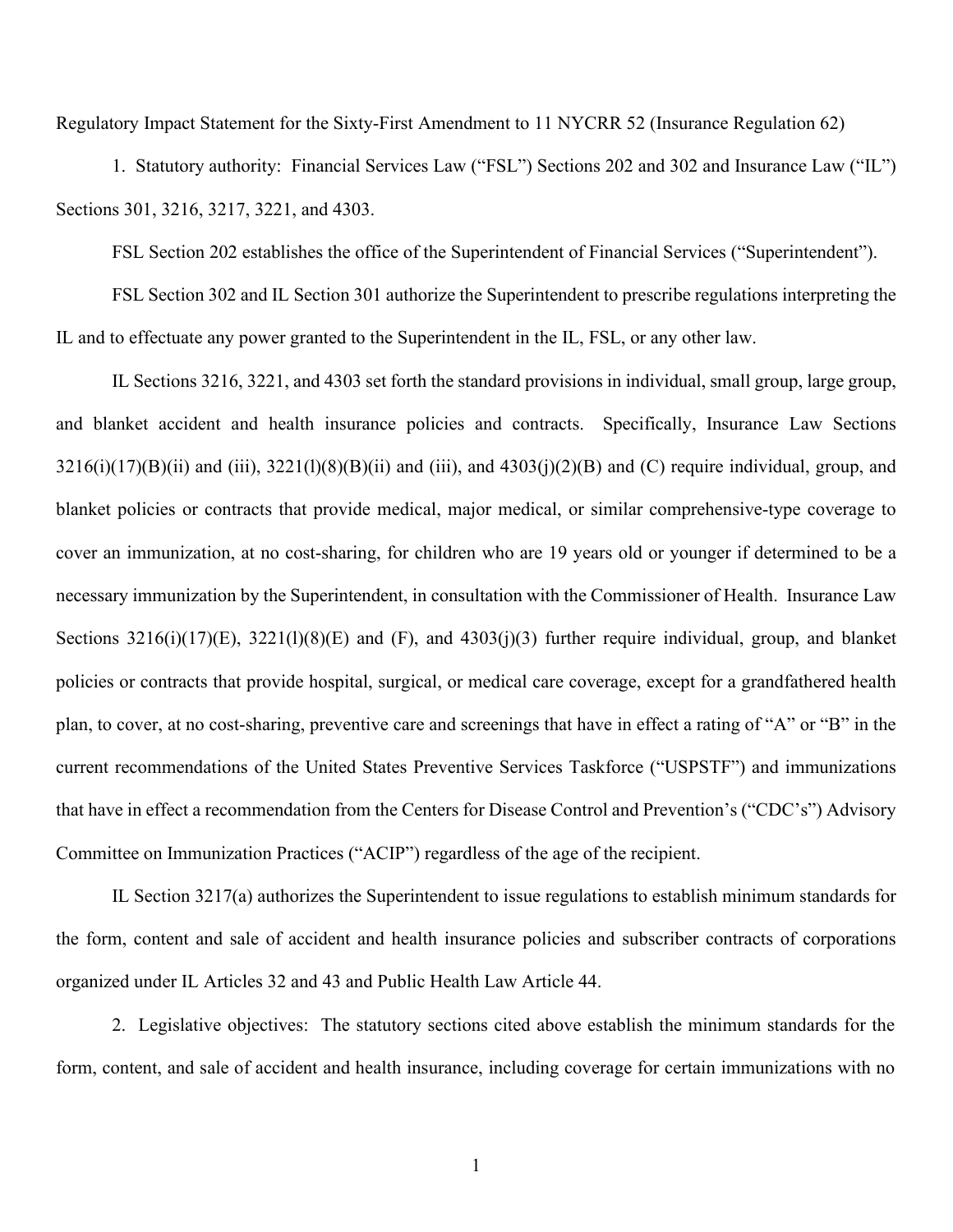Regulatory Impact Statement for the Sixty-First Amendment to 11 NYCRR 52 (Insurance Regulation 62)

1. Statutory authority: Financial Services Law ("FSL") Sections 202 and 302 and Insurance Law ("IL") Sections 301, 3216, 3217, 3221, and 4303.

FSL Section 202 establishes the office of the Superintendent of Financial Services ("Superintendent").

FSL Section 302 and IL Section 301 authorize the Superintendent to prescribe regulations interpreting the IL and to effectuate any power granted to the Superintendent in the IL, FSL, or any other law.

IL Sections 3216, 3221, and 4303 set forth the standard provisions in individual, small group, large group, and blanket accident and health insurance policies and contracts. Specifically, Insurance Law Sections  $3216(i)(17)(B)(ii)$  and (iii),  $3221(1)(8)(B)(ii)$  and (iii), and  $4303(i)(2)(B)$  and (C) require individual, group, and blanket policies or contracts that provide medical, major medical, or similar comprehensive-type coverage to cover an immunization, at no cost-sharing, for children who are 19 years old or younger if determined to be a necessary immunization by the Superintendent, in consultation with the Commissioner of Health. Insurance Law Sections 3216(i)(17)(E), 3221(l)(8)(E) and (F), and 4303(j)(3) further require individual, group, and blanket policies or contracts that provide hospital, surgical, or medical care coverage, except for a grandfathered health plan, to cover, at no cost-sharing, preventive care and screenings that have in effect a rating of "A" or "B" in the current recommendations of the United States Preventive Services Taskforce ("USPSTF") and immunizations that have in effect a recommendation from the Centers for Disease Control and Prevention's ("CDC's") Advisory Committee on Immunization Practices ("ACIP") regardless of the age of the recipient.

IL Section 3217(a) authorizes the Superintendent to issue regulations to establish minimum standards for the form, content and sale of accident and health insurance policies and subscriber contracts of corporations organized under IL Articles 32 and 43 and Public Health Law Article 44.

2. Legislative objectives: The statutory sections cited above establish the minimum standards for the form, content, and sale of accident and health insurance, including coverage for certain immunizations with no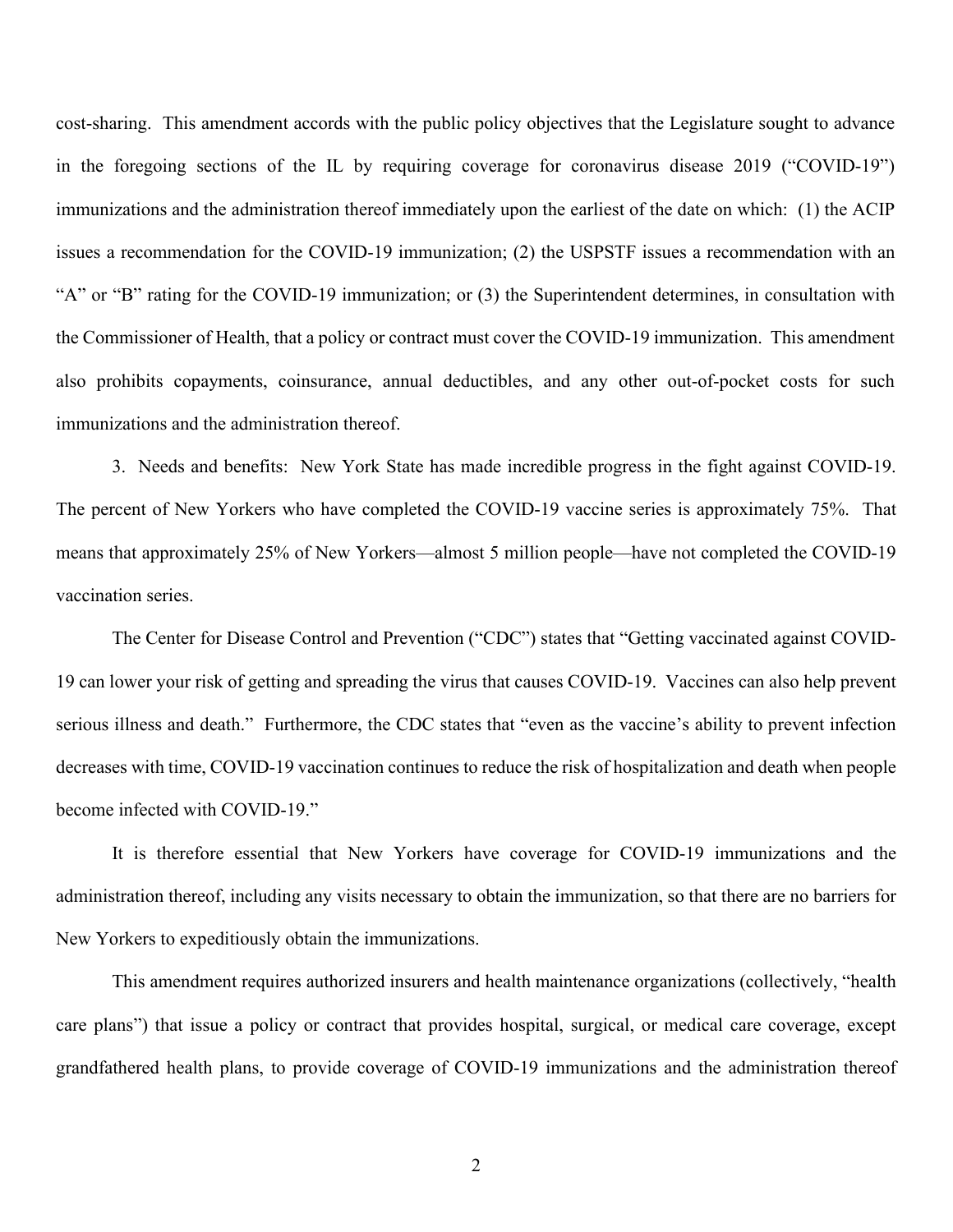cost-sharing. This amendment accords with the public policy objectives that the Legislature sought to advance in the foregoing sections of the IL by requiring coverage for coronavirus disease 2019 ("COVID-19") immunizations and the administration thereof immediately upon the earliest of the date on which: (1) the ACIP issues a recommendation for the COVID-19 immunization; (2) the USPSTF issues a recommendation with an "A" or "B" rating for the COVID-19 immunization; or (3) the Superintendent determines, in consultation with the Commissioner of Health, that a policy or contract must cover the COVID-19 immunization. This amendment also prohibits copayments, coinsurance, annual deductibles, and any other out-of-pocket costs for such immunizations and the administration thereof.

3. Needs and benefits: New York State has made incredible progress in the fight against COVID-19. The percent of New Yorkers who have completed the COVID-19 vaccine series is approximately 75%. That means that approximately 25% of New Yorkers—almost 5 million people—have not completed the COVID-19 vaccination series.

The Center for Disease Control and Prevention ("CDC") states that "Getting vaccinated against COVID-19 can lower your risk of getting and spreading the virus that causes COVID-19. Vaccines can also help prevent serious illness and death." Furthermore, the CDC states that "even as the vaccine's ability to prevent infection decreases with time, COVID-19 vaccination continues to reduce the risk of hospitalization and death when people become infected with COVID-19."

It is therefore essential that New Yorkers have coverage for COVID-19 immunizations and the administration thereof, including any visits necessary to obtain the immunization, so that there are no barriers for New Yorkers to expeditiously obtain the immunizations.

This amendment requires authorized insurers and health maintenance organizations (collectively, "health care plans") that issue a policy or contract that provides hospital, surgical, or medical care coverage, except grandfathered health plans, to provide coverage of COVID-19 immunizations and the administration thereof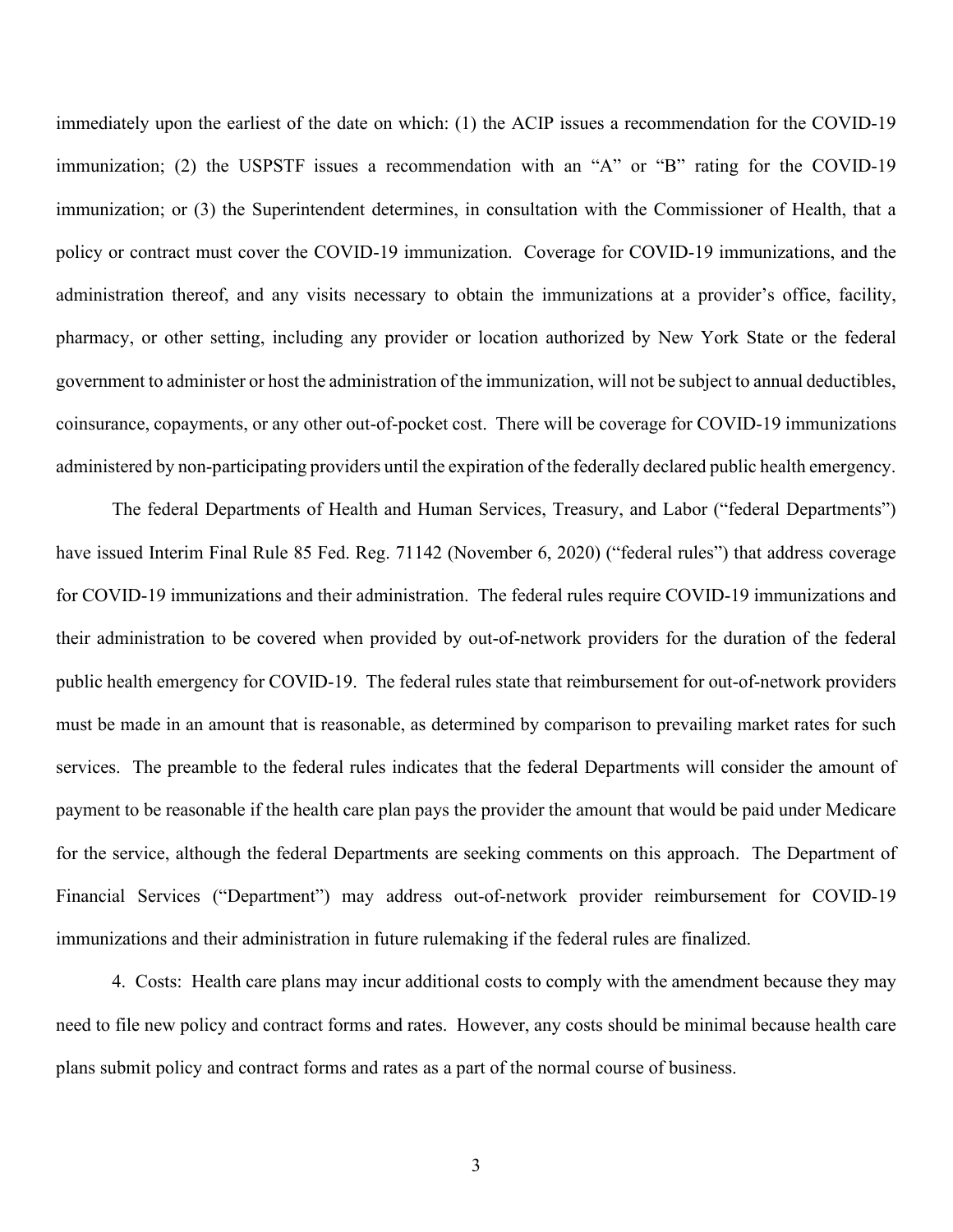immediately upon the earliest of the date on which: (1) the ACIP issues a recommendation for the COVID-19 immunization; (2) the USPSTF issues a recommendation with an "A" or "B" rating for the COVID-19 immunization; or (3) the Superintendent determines, in consultation with the Commissioner of Health, that a policy or contract must cover the COVID-19 immunization. Coverage for COVID-19 immunizations, and the administration thereof, and any visits necessary to obtain the immunizations at a provider's office, facility, pharmacy, or other setting, including any provider or location authorized by New York State or the federal government to administer or host the administration of the immunization, will not be subject to annual deductibles, coinsurance, copayments, or any other out-of-pocket cost. There will be coverage for COVID-19 immunizations administered by non-participating providers until the expiration of the federally declared public health emergency.

The federal Departments of Health and Human Services, Treasury, and Labor ("federal Departments") have issued Interim Final Rule 85 Fed. Reg. 71142 (November 6, 2020) ("federal rules") that address coverage for COVID-19 immunizations and their administration. The federal rules require COVID-19 immunizations and their administration to be covered when provided by out-of-network providers for the duration of the federal public health emergency for COVID-19. The federal rules state that reimbursement for out-of-network providers must be made in an amount that is reasonable, as determined by comparison to prevailing market rates for such services. The preamble to the federal rules indicates that the federal Departments will consider the amount of payment to be reasonable if the health care plan pays the provider the amount that would be paid under Medicare for the service, although the federal Departments are seeking comments on this approach. The Department of Financial Services ("Department") may address out-of-network provider reimbursement for COVID-19 immunizations and their administration in future rulemaking if the federal rules are finalized.

4. Costs: Health care plans may incur additional costs to comply with the amendment because they may need to file new policy and contract forms and rates. However, any costs should be minimal because health care plans submit policy and contract forms and rates as a part of the normal course of business.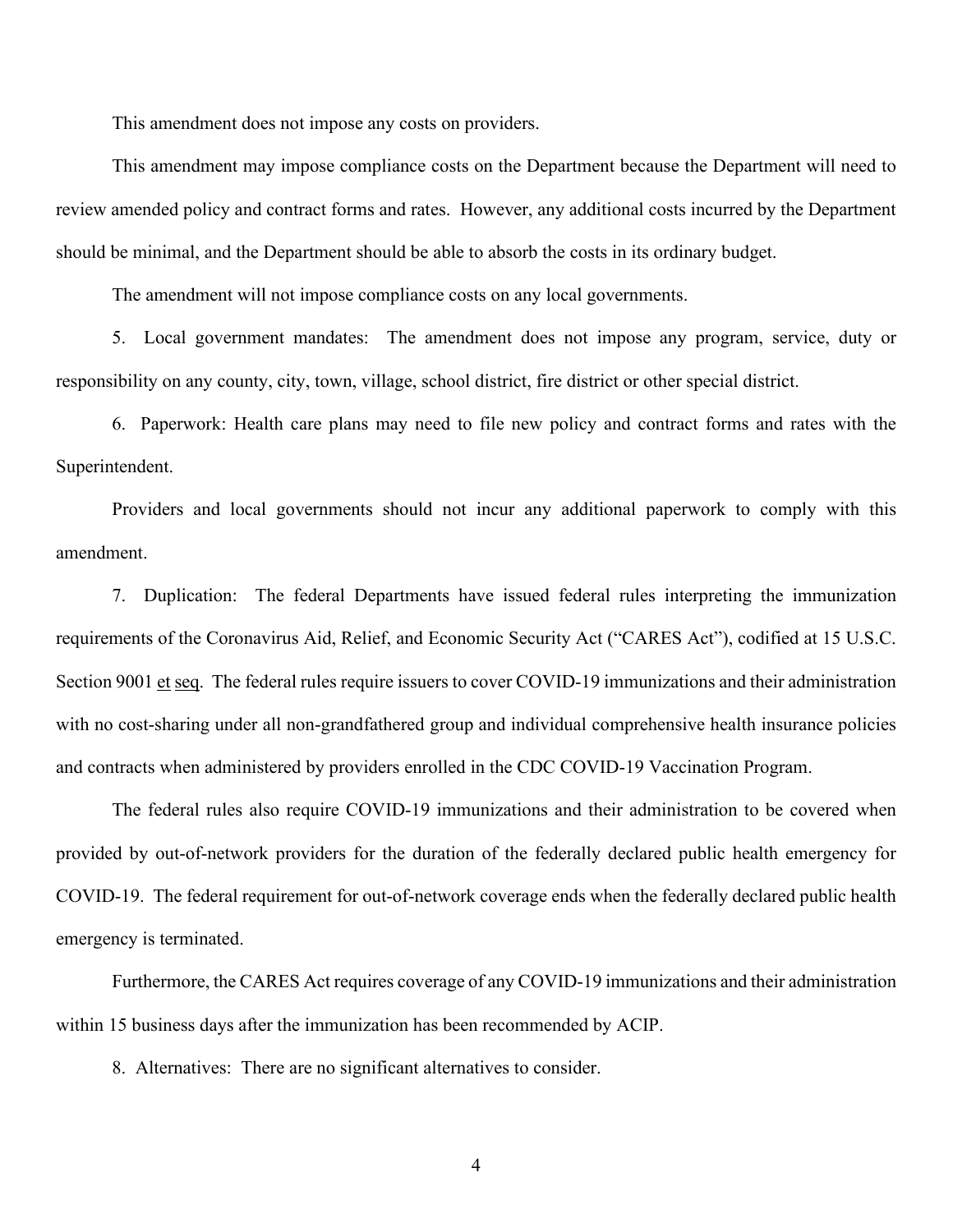This amendment does not impose any costs on providers.

This amendment may impose compliance costs on the Department because the Department will need to review amended policy and contract forms and rates. However, any additional costs incurred by the Department should be minimal, and the Department should be able to absorb the costs in its ordinary budget.

The amendment will not impose compliance costs on any local governments.

5. Local government mandates: The amendment does not impose any program, service, duty or responsibility on any county, city, town, village, school district, fire district or other special district.

6. Paperwork: Health care plans may need to file new policy and contract forms and rates with the Superintendent.

Providers and local governments should not incur any additional paperwork to comply with this amendment.

7. Duplication: The federal Departments have issued federal rules interpreting the immunization requirements of the Coronavirus Aid, Relief, and Economic Security Act ("CARES Act"), codified at 15 U.S.C. Section 9001 et seq. The federal rules require issuers to cover COVID-19 immunizations and their administration with no cost-sharing under all non-grandfathered group and individual comprehensive health insurance policies and contracts when administered by providers enrolled in the CDC COVID-19 Vaccination Program.

The federal rules also require COVID-19 immunizations and their administration to be covered when provided by out-of-network providers for the duration of the federally declared public health emergency for COVID-19. The federal requirement for out-of-network coverage ends when the federally declared public health emergency is terminated.

Furthermore, the CARES Act requires coverage of any COVID-19 immunizations and their administration within 15 business days after the immunization has been recommended by ACIP.

8. Alternatives: There are no significant alternatives to consider.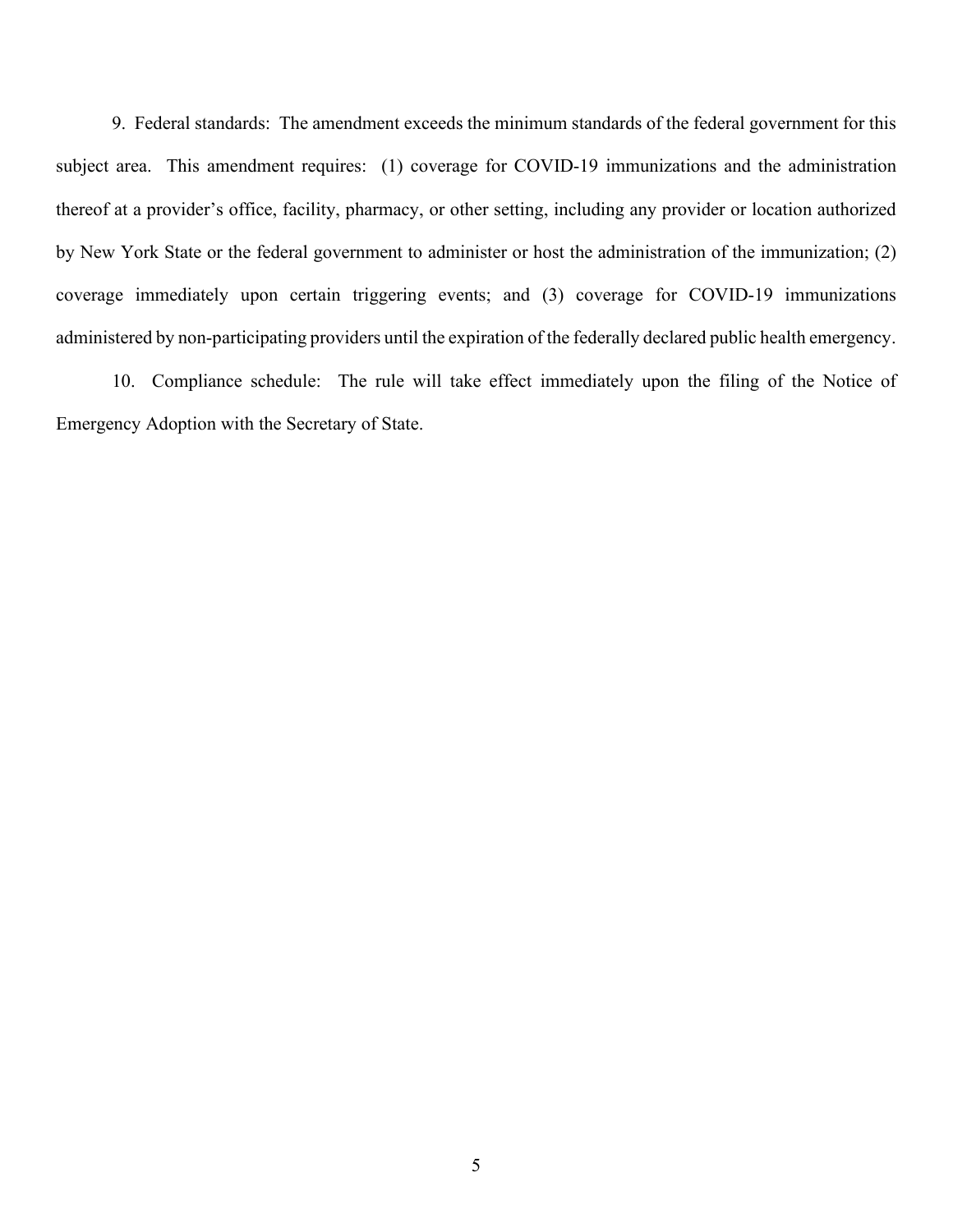9. Federal standards: The amendment exceeds the minimum standards of the federal government for this subject area. This amendment requires: (1) coverage for COVID-19 immunizations and the administration thereof at a provider's office, facility, pharmacy, or other setting, including any provider or location authorized by New York State or the federal government to administer or host the administration of the immunization; (2) coverage immediately upon certain triggering events; and (3) coverage for COVID-19 immunizations administered by non-participating providers until the expiration of the federally declared public health emergency.

10. Compliance schedule: The rule will take effect immediately upon the filing of the Notice of Emergency Adoption with the Secretary of State.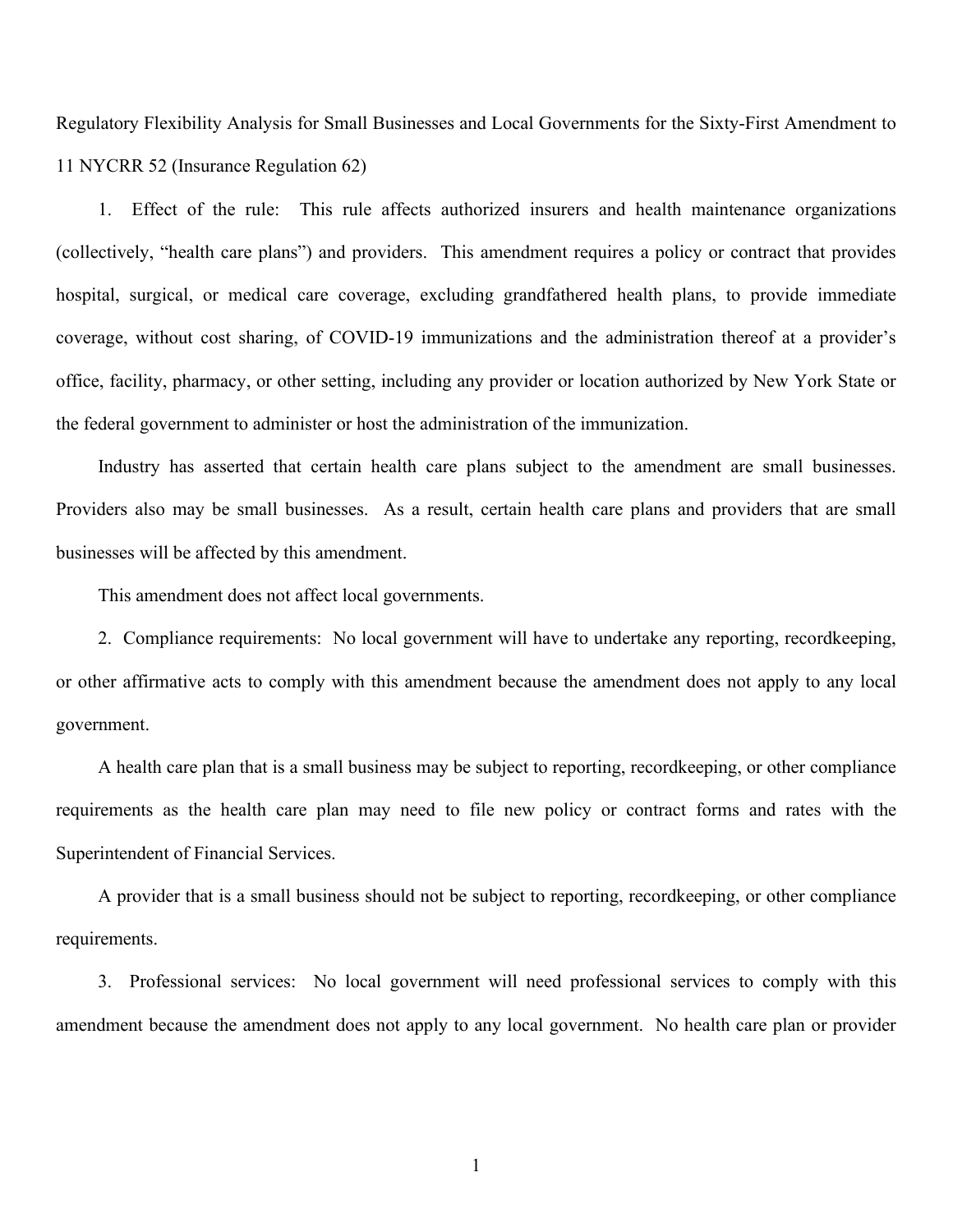Regulatory Flexibility Analysis for Small Businesses and Local Governments for the Sixty-First Amendment to 11 NYCRR 52 (Insurance Regulation 62)

1. Effect of the rule: This rule affects authorized insurers and health maintenance organizations (collectively, "health care plans") and providers. This amendment requires a policy or contract that provides hospital, surgical, or medical care coverage, excluding grandfathered health plans, to provide immediate coverage, without cost sharing, of COVID-19 immunizations and the administration thereof at a provider's office, facility, pharmacy, or other setting, including any provider or location authorized by New York State or the federal government to administer or host the administration of the immunization.

Industry has asserted that certain health care plans subject to the amendment are small businesses. Providers also may be small businesses. As a result, certain health care plans and providers that are small businesses will be affected by this amendment.

This amendment does not affect local governments.

2. Compliance requirements: No local government will have to undertake any reporting, recordkeeping, or other affirmative acts to comply with this amendment because the amendment does not apply to any local government.

A health care plan that is a small business may be subject to reporting, recordkeeping, or other compliance requirements as the health care plan may need to file new policy or contract forms and rates with the Superintendent of Financial Services.

A provider that is a small business should not be subject to reporting, recordkeeping, or other compliance requirements.

3. Professional services: No local government will need professional services to comply with this amendment because the amendment does not apply to any local government. No health care plan or provider

1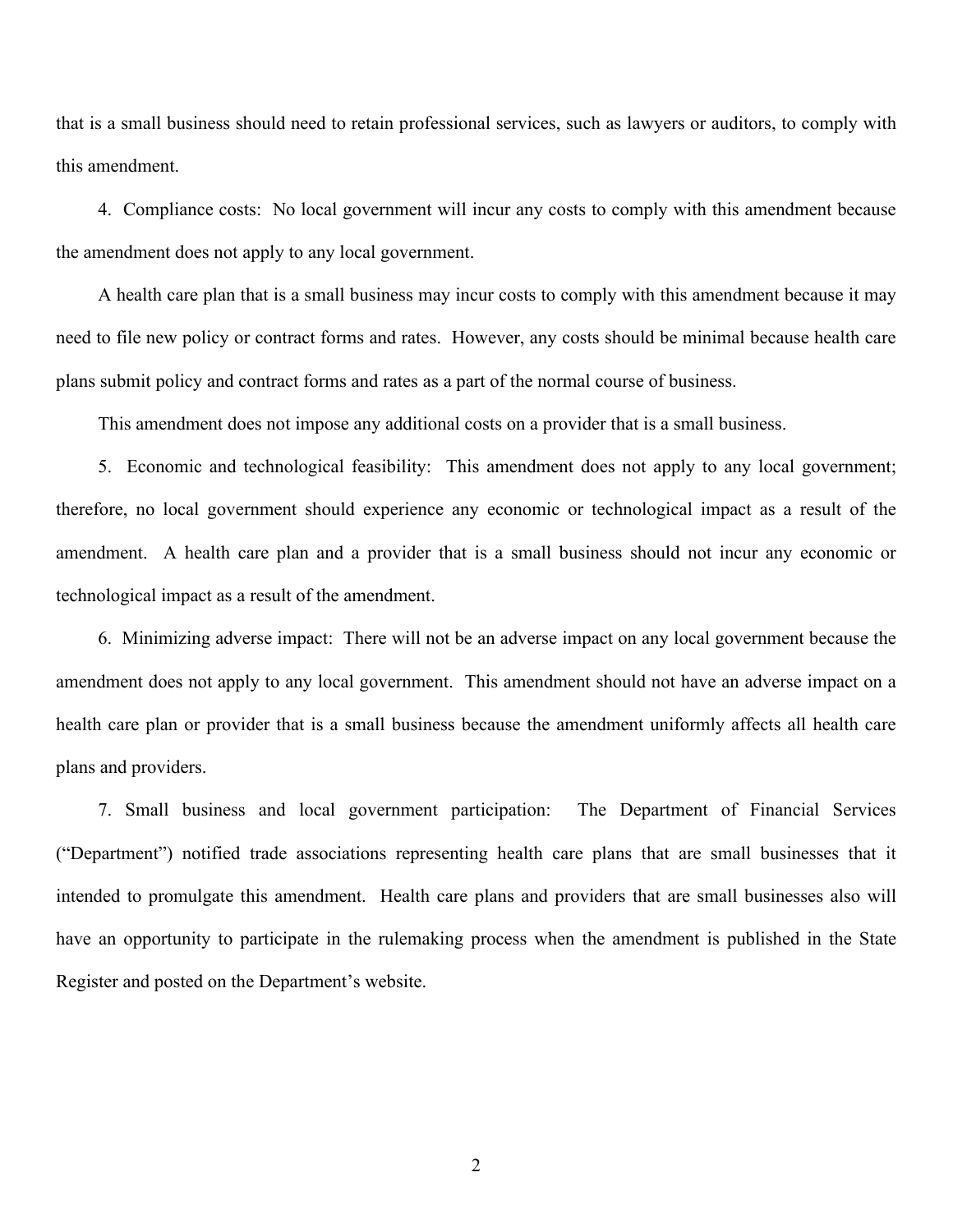that is a small business should need to retain professional services, such as lawyers or auditors, to comply with this amendment.

4. Compliance costs: No local government will incur any costs to comply with this amendment because the amendment does not apply to any local government.

A health care plan that is a small business may incur costs to comply with this amendment because it may need to file new policy or contract forms and rates. However, any costs should be minimal because health care plans submit policy and contract forms and rates as a part of the normal course of business.

This amendment does not impose any additional costs on a provider that is a small business.

5. Economic and technological feasibility: This amendment does not apply to any local government; therefore, no local government should experience any economic or technological impact as a result of the amendment. A health care plan and a provider that is a small business should not incur any economic or technological impact as a result of the amendment.

6. Minimizing adverse impact: There will not be an adverse impact on any local government because the amendment does not apply to any local government. This amendment should not have an adverse impact on a health care plan or provider that is a small business because the amendment uniformly affects all health care plans and providers.

7. Small business and local government participation: The Department of Financial Services ("Department") notified trade associations representing health care plans that are small businesses that it intended to promulgate this amendment. Health care plans and providers that are small businesses also will have an opportunity to participate in the rulemaking process when the amendment is published in the State Register and posted on the Department's website.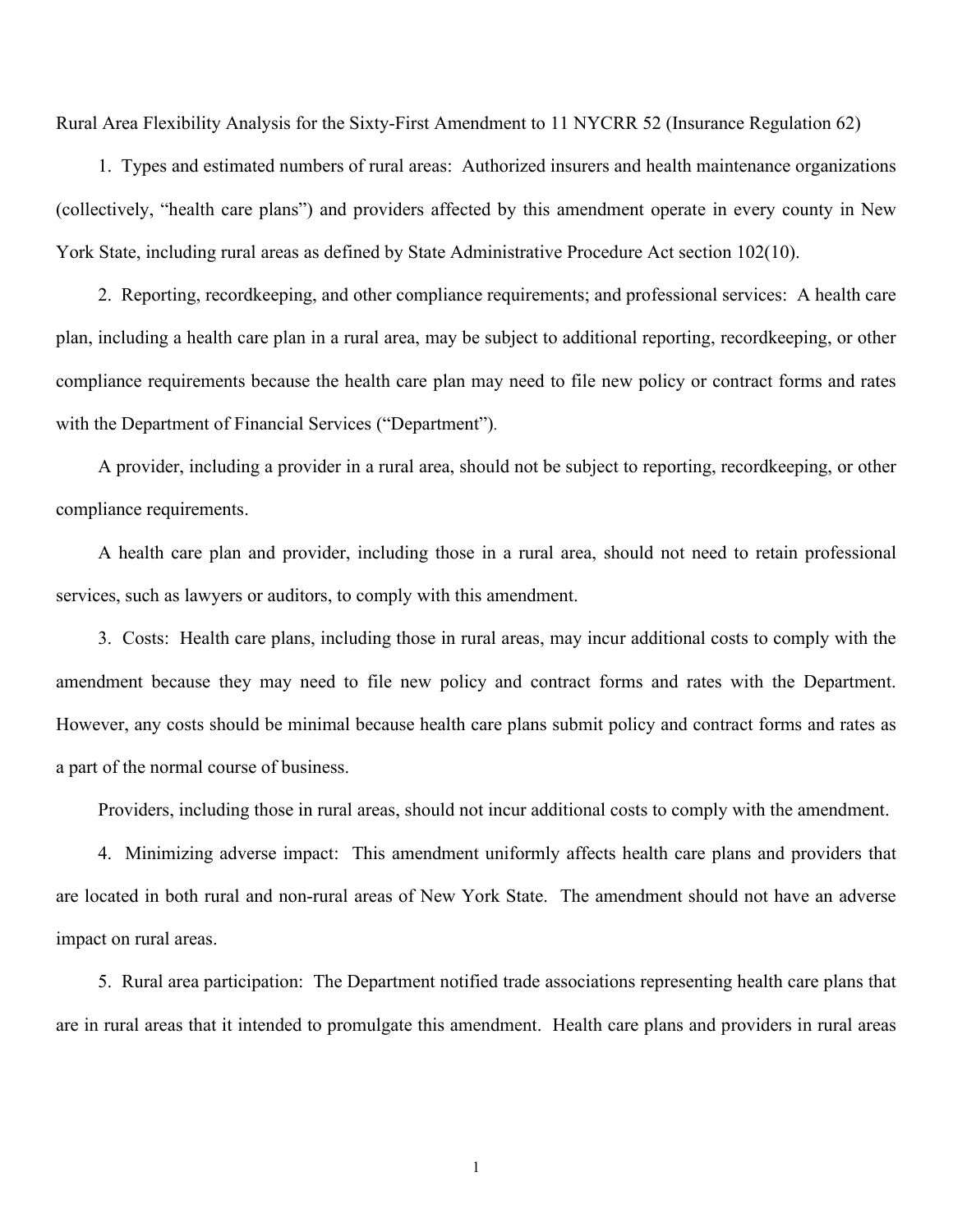Rural Area Flexibility Analysis for the Sixty-First Amendment to 11 NYCRR 52 (Insurance Regulation 62)

1. Types and estimated numbers of rural areas: Authorized insurers and health maintenance organizations (collectively, "health care plans") and providers affected by this amendment operate in every county in New York State, including rural areas as defined by State Administrative Procedure Act section 102(10).

2. Reporting, recordkeeping, and other compliance requirements; and professional services: A health care plan, including a health care plan in a rural area, may be subject to additional reporting, recordkeeping, or other compliance requirements because the health care plan may need to file new policy or contract forms and rates with the Department of Financial Services ("Department").

A provider, including a provider in a rural area, should not be subject to reporting, recordkeeping, or other compliance requirements.

A health care plan and provider, including those in a rural area, should not need to retain professional services, such as lawyers or auditors, to comply with this amendment.

3. Costs: Health care plans, including those in rural areas, may incur additional costs to comply with the amendment because they may need to file new policy and contract forms and rates with the Department. However, any costs should be minimal because health care plans submit policy and contract forms and rates as a part of the normal course of business.

Providers, including those in rural areas, should not incur additional costs to comply with the amendment.

4. Minimizing adverse impact: This amendment uniformly affects health care plans and providers that are located in both rural and non-rural areas of New York State. The amendment should not have an adverse impact on rural areas.

5. Rural area participation: The Department notified trade associations representing health care plans that are in rural areas that it intended to promulgate this amendment. Health care plans and providers in rural areas

1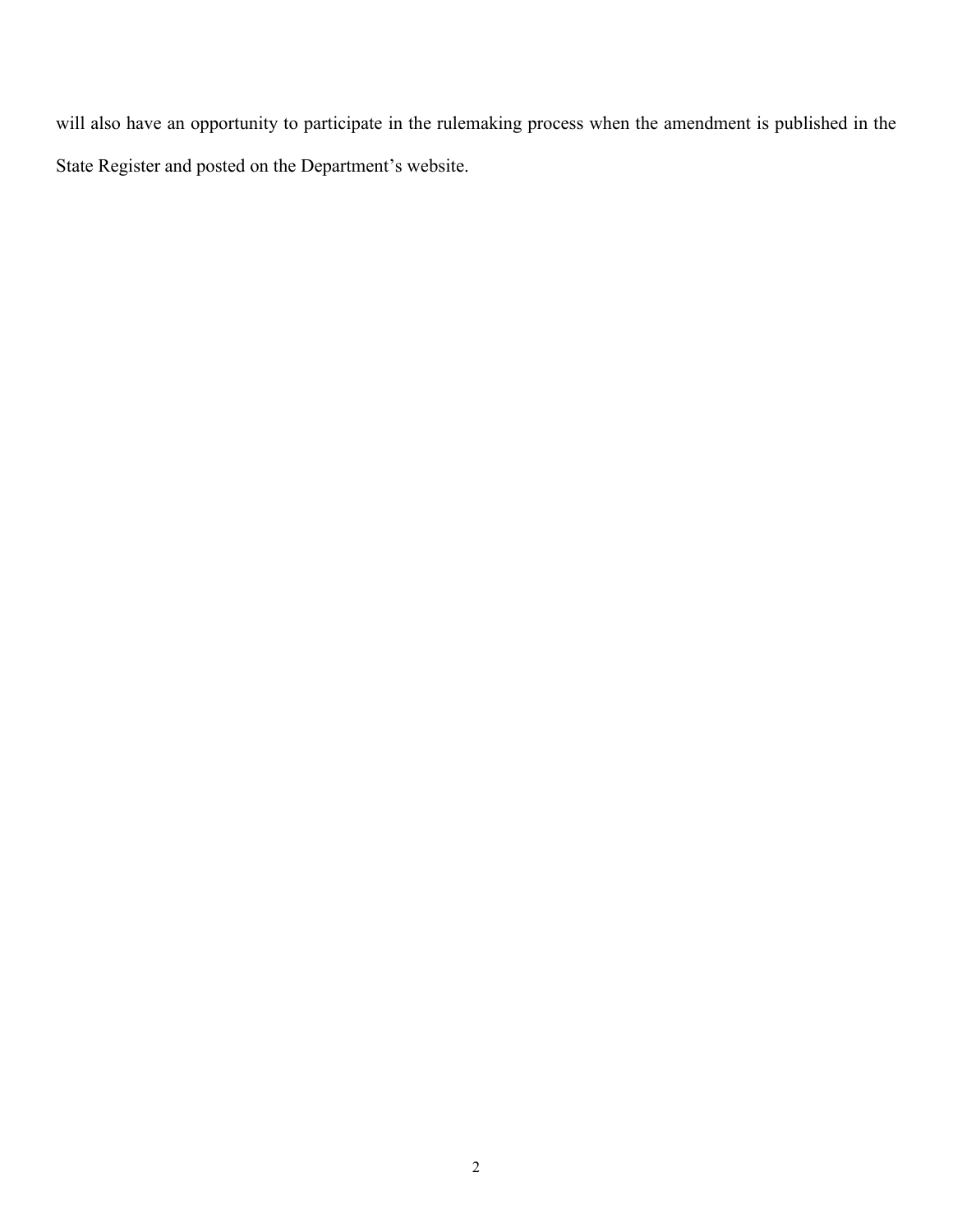will also have an opportunity to participate in the rulemaking process when the amendment is published in the State Register and posted on the Department's website.